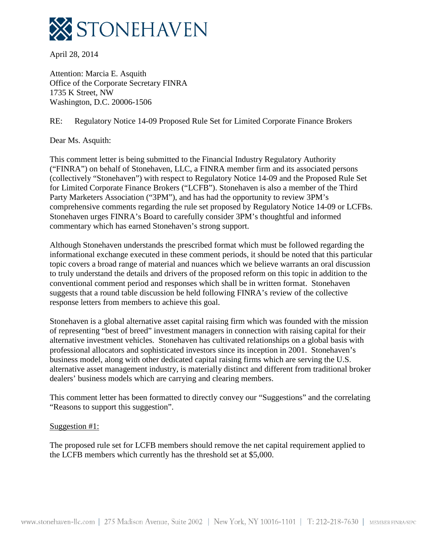

April 28, 2014

Attention: Marcia E. Asquith Office of the Corporate Secretary FINRA 1735 K Street, NW Washington, D.C. 20006-1506

RE: Regulatory Notice 14-09 Proposed Rule Set for Limited Corporate Finance Brokers

Dear Ms. Asquith:

This comment letter is being submitted to the Financial Industry Regulatory Authority ("FINRA") on behalf of Stonehaven, LLC, a FINRA member firm and its associated persons (collectively "Stonehaven") with respect to Regulatory Notice 14-09 and the Proposed Rule Set for Limited Corporate Finance Brokers ("LCFB"). Stonehaven is also a member of the Third Party Marketers Association ("3PM"), and has had the opportunity to review 3PM's comprehensive comments regarding the rule set proposed by Regulatory Notice 14-09 or LCFBs. Stonehaven urges FINRA's Board to carefully consider 3PM's thoughtful and informed commentary which has earned Stonehaven's strong support.

Although Stonehaven understands the prescribed format which must be followed regarding the informational exchange executed in these comment periods, it should be noted that this particular topic covers a broad range of material and nuances which we believe warrants an oral discussion to truly understand the details and drivers of the proposed reform on this topic in addition to the conventional comment period and responses which shall be in written format. Stonehaven suggests that a round table discussion be held following FINRA's review of the collective response letters from members to achieve this goal.

Stonehaven is a global alternative asset capital raising firm which was founded with the mission of representing "best of breed" investment managers in connection with raising capital for their alternative investment vehicles. Stonehaven has cultivated relationships on a global basis with professional allocators and sophisticated investors since its inception in 2001. Stonehaven's business model, along with other dedicated capital raising firms which are serving the U.S. alternative asset management industry, is materially distinct and different from traditional broker dealers' business models which are carrying and clearing members.

This comment letter has been formatted to directly convey our "Suggestions" and the correlating "Reasons to support this suggestion".

### Suggestion #1:

The proposed rule set for LCFB members should remove the net capital requirement applied to the LCFB members which currently has the threshold set at \$5,000.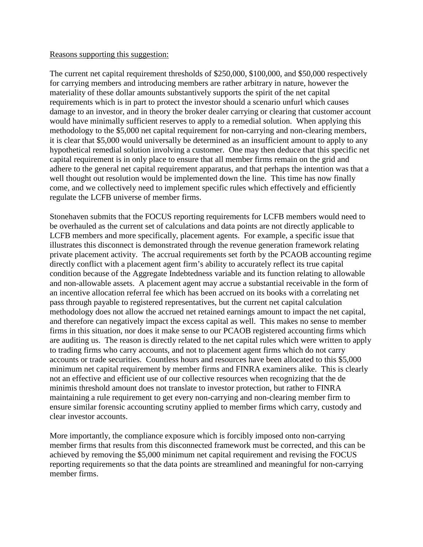#### Reasons supporting this suggestion:

The current net capital requirement thresholds of \$250,000, \$100,000, and \$50,000 respectively for carrying members and introducing members are rather arbitrary in nature, however the materiality of these dollar amounts substantively supports the spirit of the net capital requirements which is in part to protect the investor should a scenario unfurl which causes damage to an investor, and in theory the broker dealer carrying or clearing that customer account would have minimally sufficient reserves to apply to a remedial solution. When applying this methodology to the \$5,000 net capital requirement for non-carrying and non-clearing members, it is clear that \$5,000 would universally be determined as an insufficient amount to apply to any hypothetical remedial solution involving a customer. One may then deduce that this specific net capital requirement is in only place to ensure that all member firms remain on the grid and adhere to the general net capital requirement apparatus, and that perhaps the intention was that a well thought out resolution would be implemented down the line. This time has now finally come, and we collectively need to implement specific rules which effectively and efficiently regulate the LCFB universe of member firms.

Stonehaven submits that the FOCUS reporting requirements for LCFB members would need to be overhauled as the current set of calculations and data points are not directly applicable to LCFB members and more specifically, placement agents. For example, a specific issue that illustrates this disconnect is demonstrated through the revenue generation framework relating private placement activity. The accrual requirements set forth by the PCAOB accounting regime directly conflict with a placement agent firm's ability to accurately reflect its true capital condition because of the Aggregate Indebtedness variable and its function relating to allowable and non-allowable assets. A placement agent may accrue a substantial receivable in the form of an incentive allocation referral fee which has been accrued on its books with a correlating net pass through payable to registered representatives, but the current net capital calculation methodology does not allow the accrued net retained earnings amount to impact the net capital, and therefore can negatively impact the excess capital as well. This makes no sense to member firms in this situation, nor does it make sense to our PCAOB registered accounting firms which are auditing us. The reason is directly related to the net capital rules which were written to apply to trading firms who carry accounts, and not to placement agent firms which do not carry accounts or trade securities. Countless hours and resources have been allocated to this \$5,000 minimum net capital requirement by member firms and FINRA examiners alike. This is clearly not an effective and efficient use of our collective resources when recognizing that the de minimis threshold amount does not translate to investor protection, but rather to FINRA maintaining a rule requirement to get every non-carrying and non-clearing member firm to ensure similar forensic accounting scrutiny applied to member firms which carry, custody and clear investor accounts.

More importantly, the compliance exposure which is forcibly imposed onto non-carrying member firms that results from this disconnected framework must be corrected, and this can be achieved by removing the \$5,000 minimum net capital requirement and revising the FOCUS reporting requirements so that the data points are streamlined and meaningful for non-carrying member firms.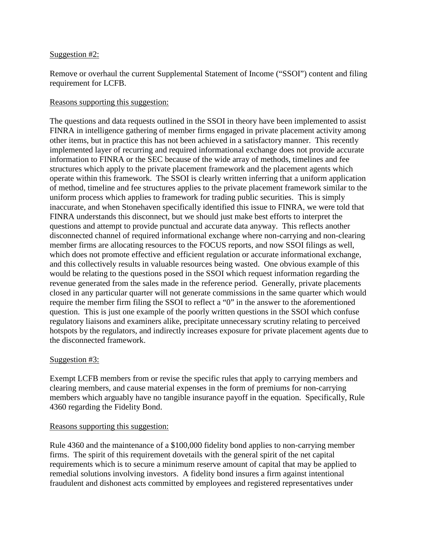#### Suggestion #2:

Remove or overhaul the current Supplemental Statement of Income ("SSOI") content and filing requirement for LCFB.

## Reasons supporting this suggestion:

The questions and data requests outlined in the SSOI in theory have been implemented to assist FINRA in intelligence gathering of member firms engaged in private placement activity among other items, but in practice this has not been achieved in a satisfactory manner. This recently implemented layer of recurring and required informational exchange does not provide accurate information to FINRA or the SEC because of the wide array of methods, timelines and fee structures which apply to the private placement framework and the placement agents which operate within this framework. The SSOI is clearly written inferring that a uniform application of method, timeline and fee structures applies to the private placement framework similar to the uniform process which applies to framework for trading public securities. This is simply inaccurate, and when Stonehaven specifically identified this issue to FINRA, we were told that FINRA understands this disconnect, but we should just make best efforts to interpret the questions and attempt to provide punctual and accurate data anyway. This reflects another disconnected channel of required informational exchange where non-carrying and non-clearing member firms are allocating resources to the FOCUS reports, and now SSOI filings as well, which does not promote effective and efficient regulation or accurate informational exchange, and this collectively results in valuable resources being wasted. One obvious example of this would be relating to the questions posed in the SSOI which request information regarding the revenue generated from the sales made in the reference period. Generally, private placements closed in any particular quarter will not generate commissions in the same quarter which would require the member firm filing the SSOI to reflect a "0" in the answer to the aforementioned question. This is just one example of the poorly written questions in the SSOI which confuse regulatory liaisons and examiners alike, precipitate unnecessary scrutiny relating to perceived hotspots by the regulators, and indirectly increases exposure for private placement agents due to the disconnected framework.

### Suggestion #3:

Exempt LCFB members from or revise the specific rules that apply to carrying members and clearing members, and cause material expenses in the form of premiums for non-carrying members which arguably have no tangible insurance payoff in the equation. Specifically, Rule 4360 regarding the Fidelity Bond.

### Reasons supporting this suggestion:

Rule 4360 and the maintenance of a \$100,000 fidelity bond applies to non-carrying member firms. The spirit of this requirement dovetails with the general spirit of the net capital requirements which is to secure a minimum reserve amount of capital that may be applied to remedial solutions involving investors. A fidelity bond insures a firm against intentional fraudulent and dishonest acts committed by employees and registered representatives under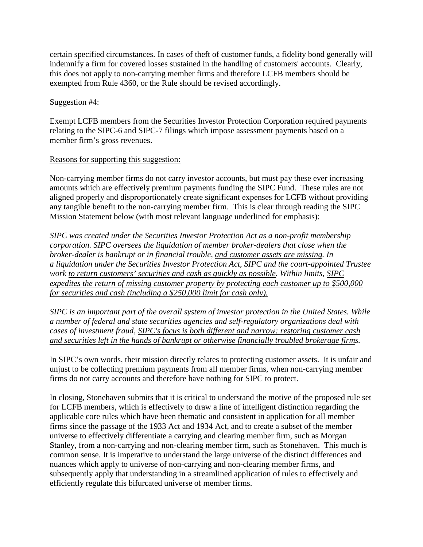certain specified circumstances. In cases of theft of customer funds, a fidelity bond generally will indemnify a firm for covered losses sustained in the handling of customers' accounts. Clearly, this does not apply to non-carrying member firms and therefore LCFB members should be exempted from Rule 4360, or the Rule should be revised accordingly.

# Suggestion #4:

Exempt LCFB members from the Securities Investor Protection Corporation required payments relating to the SIPC-6 and SIPC-7 filings which impose assessment payments based on a member firm's gross revenues.

# Reasons for supporting this suggestion:

Non-carrying member firms do not carry investor accounts, but must pay these ever increasing amounts which are effectively premium payments funding the SIPC Fund. These rules are not aligned properly and disproportionately create significant expenses for LCFB without providing any tangible benefit to the non-carrying member firm. This is clear through reading the SIPC Mission Statement below (with most relevant language underlined for emphasis):

*SIPC was created under the [Securities Investor Protection Act](http://www.sipc.org/about-sipc/statute-and-rules/statute) as a non-profit membership corporation. SIPC oversees the liquidation of member broker-dealers that close when the broker-dealer is bankrupt or in financial trouble, and customer assets are missing. In a [liquidation under the Securities Investor Protection Act,](http://www.sipc.org/cases-and-claims/how-a-liquidation-works) SIPC and the court-appointed Trustee work to return customers' securities and cash as quickly as possible. Within limits, SIPC expedites the return of missing customer property by protecting each customer up to \$500,000 for securities and cash (including a \$250,000 limit for cash only).*

*SIPC is an important part of the overall system of investor protection in the United States. While a number of federal and state securities agencies and self-regulatory organizations deal with cases of [investment fraud,](http://www.sipc.org/for-investors/protecting-against-fraud) SIPC's focus is both different and narrow: restoring customer cash and securities left in the hands of bankrupt or otherwise financially troubled brokerage firms.*

In SIPC's own words, their mission directly relates to protecting customer assets. It is unfair and unjust to be collecting premium payments from all member firms, when non-carrying member firms do not carry accounts and therefore have nothing for SIPC to protect.

In closing, Stonehaven submits that it is critical to understand the motive of the proposed rule set for LCFB members, which is effectively to draw a line of intelligent distinction regarding the applicable core rules which have been thematic and consistent in application for all member firms since the passage of the 1933 Act and 1934 Act, and to create a subset of the member universe to effectively differentiate a carrying and clearing member firm, such as Morgan Stanley, from a non-carrying and non-clearing member firm, such as Stonehaven. This much is common sense. It is imperative to understand the large universe of the distinct differences and nuances which apply to universe of non-carrying and non-clearing member firms, and subsequently apply that understanding in a streamlined application of rules to effectively and efficiently regulate this bifurcated universe of member firms.